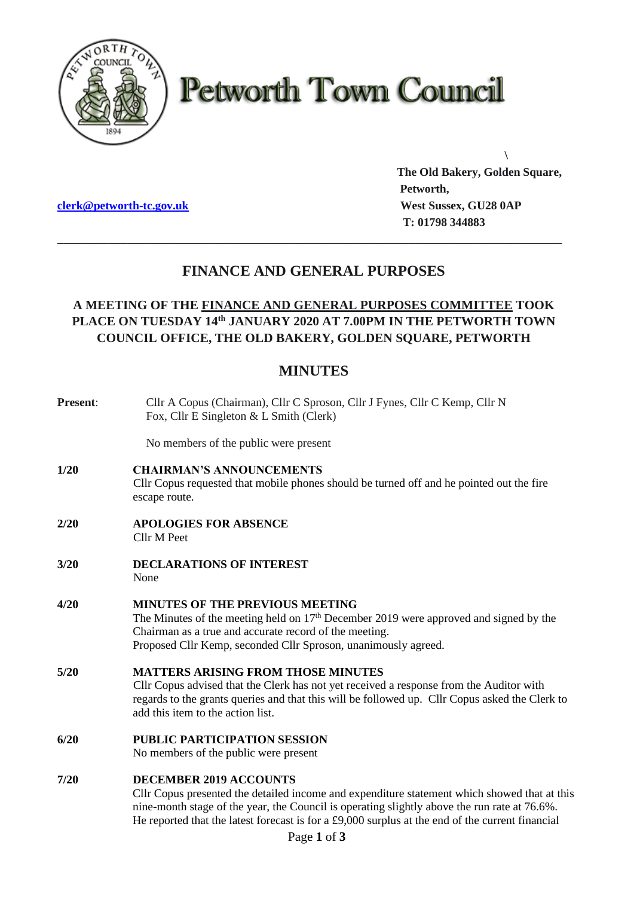

# **Petworth Town Council**

**[clerk@petworth-tc.gov.uk](mailto:clerk@petworth-tc.gov.uk) West Sussex, GU28 0AP**

**The Old Bakery, Golden Square, Petworth, T: 01798 344883**

**\**

## **FINANCE AND GENERAL PURPOSES**

**\_\_\_\_\_\_\_\_\_\_\_\_\_\_\_\_\_\_\_\_\_\_\_\_\_\_\_\_\_\_\_\_\_\_\_\_\_\_\_\_\_\_\_\_\_\_\_\_\_\_\_\_\_\_\_\_\_\_\_\_\_\_\_\_\_\_\_\_\_\_\_\_\_\_\_\_\_\_\_**

### **A MEETING OF THE FINANCE AND GENERAL PURPOSES COMMITTEE TOOK PLACE ON TUESDAY 14 th JANUARY 2020 AT 7.00PM IN THE PETWORTH TOWN COUNCIL OFFICE, THE OLD BAKERY, GOLDEN SQUARE, PETWORTH**

## **MINUTES**

| Present: | Cllr A Copus (Chairman), Cllr C Sproson, Cllr J Fynes, Cllr C Kemp, Cllr N<br>Fox, Cllr E Singleton & L Smith (Clerk)                                                                                                                                                                                                             |
|----------|-----------------------------------------------------------------------------------------------------------------------------------------------------------------------------------------------------------------------------------------------------------------------------------------------------------------------------------|
|          | No members of the public were present                                                                                                                                                                                                                                                                                             |
| 1/20     | <b>CHAIRMAN'S ANNOUNCEMENTS</b><br>Cllr Copus requested that mobile phones should be turned off and he pointed out the fire<br>escape route.                                                                                                                                                                                      |
| 2/20     | <b>APOLOGIES FOR ABSENCE</b><br>Cllr M Peet                                                                                                                                                                                                                                                                                       |
| 3/20     | <b>DECLARATIONS OF INTEREST</b><br>None                                                                                                                                                                                                                                                                                           |
| 4/20     | <b>MINUTES OF THE PREVIOUS MEETING</b><br>The Minutes of the meeting held on $17th$ December 2019 were approved and signed by the<br>Chairman as a true and accurate record of the meeting.<br>Proposed Cllr Kemp, seconded Cllr Sproson, unanimously agreed.                                                                     |
| 5/20     | <b>MATTERS ARISING FROM THOSE MINUTES</b><br>Cllr Copus advised that the Clerk has not yet received a response from the Auditor with<br>regards to the grants queries and that this will be followed up. Cllr Copus asked the Clerk to<br>add this item to the action list.                                                       |
| 6/20     | <b>PUBLIC PARTICIPATION SESSION</b><br>No members of the public were present                                                                                                                                                                                                                                                      |
| 7/20     | <b>DECEMBER 2019 ACCOUNTS</b><br>Cllr Copus presented the detailed income and expenditure statement which showed that at this<br>nine-month stage of the year, the Council is operating slightly above the run rate at 76.6%.<br>He reported that the latest forecast is for a £9,000 surplus at the end of the current financial |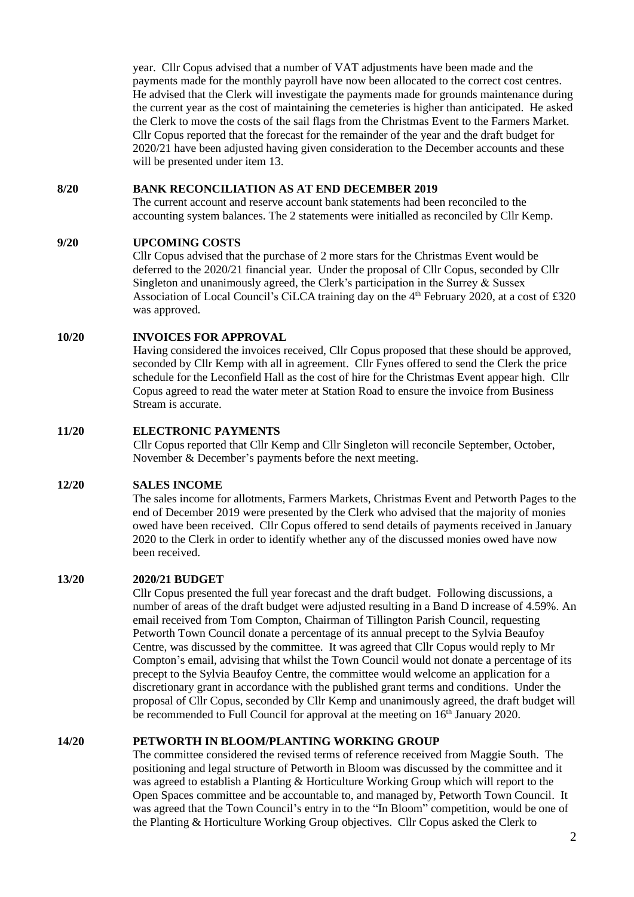year. Cllr Copus advised that a number of VAT adjustments have been made and the payments made for the monthly payroll have now been allocated to the correct cost centres. He advised that the Clerk will investigate the payments made for grounds maintenance during the current year as the cost of maintaining the cemeteries is higher than anticipated. He asked the Clerk to move the costs of the sail flags from the Christmas Event to the Farmers Market. Cllr Copus reported that the forecast for the remainder of the year and the draft budget for 2020/21 have been adjusted having given consideration to the December accounts and these will be presented under item 13.

#### **8/20 BANK RECONCILIATION AS AT END DECEMBER 2019**

The current account and reserve account bank statements had been reconciled to the accounting system balances. The 2 statements were initialled as reconciled by Cllr Kemp.

#### **9/20 UPCOMING COSTS**

Cllr Copus advised that the purchase of 2 more stars for the Christmas Event would be deferred to the 2020/21 financial year. Under the proposal of Cllr Copus, seconded by Cllr Singleton and unanimously agreed, the Clerk's participation in the Surrey & Sussex Association of Local Council's CiLCA training day on the  $4<sup>th</sup>$  February 2020, at a cost of £320 was approved.

#### **10/20 INVOICES FOR APPROVAL**

Having considered the invoices received, Cllr Copus proposed that these should be approved, seconded by Cllr Kemp with all in agreement. Cllr Fynes offered to send the Clerk the price schedule for the Leconfield Hall as the cost of hire for the Christmas Event appear high. Cllr Copus agreed to read the water meter at Station Road to ensure the invoice from Business Stream is accurate.

#### **11/20 ELECTRONIC PAYMENTS**

Cllr Copus reported that Cllr Kemp and Cllr Singleton will reconcile September, October, November & December's payments before the next meeting.

#### **12/20 SALES INCOME**

The sales income for allotments, Farmers Markets, Christmas Event and Petworth Pages to the end of December 2019 were presented by the Clerk who advised that the majority of monies owed have been received. Cllr Copus offered to send details of payments received in January 2020 to the Clerk in order to identify whether any of the discussed monies owed have now been received.

#### **13/20 2020/21 BUDGET**

Cllr Copus presented the full year forecast and the draft budget. Following discussions, a number of areas of the draft budget were adjusted resulting in a Band D increase of 4.59%. An email received from Tom Compton, Chairman of Tillington Parish Council, requesting Petworth Town Council donate a percentage of its annual precept to the Sylvia Beaufoy Centre, was discussed by the committee. It was agreed that Cllr Copus would reply to Mr Compton's email, advising that whilst the Town Council would not donate a percentage of its precept to the Sylvia Beaufoy Centre, the committee would welcome an application for a discretionary grant in accordance with the published grant terms and conditions. Under the proposal of Cllr Copus, seconded by Cllr Kemp and unanimously agreed, the draft budget will be recommended to Full Council for approval at the meeting on 16<sup>th</sup> January 2020.

#### **14/20 PETWORTH IN BLOOM/PLANTING WORKING GROUP**

The committee considered the revised terms of reference received from Maggie South. The positioning and legal structure of Petworth in Bloom was discussed by the committee and it was agreed to establish a Planting & Horticulture Working Group which will report to the Open Spaces committee and be accountable to, and managed by, Petworth Town Council. It was agreed that the Town Council's entry in to the "In Bloom" competition, would be one of the Planting & Horticulture Working Group objectives. Cllr Copus asked the Clerk to